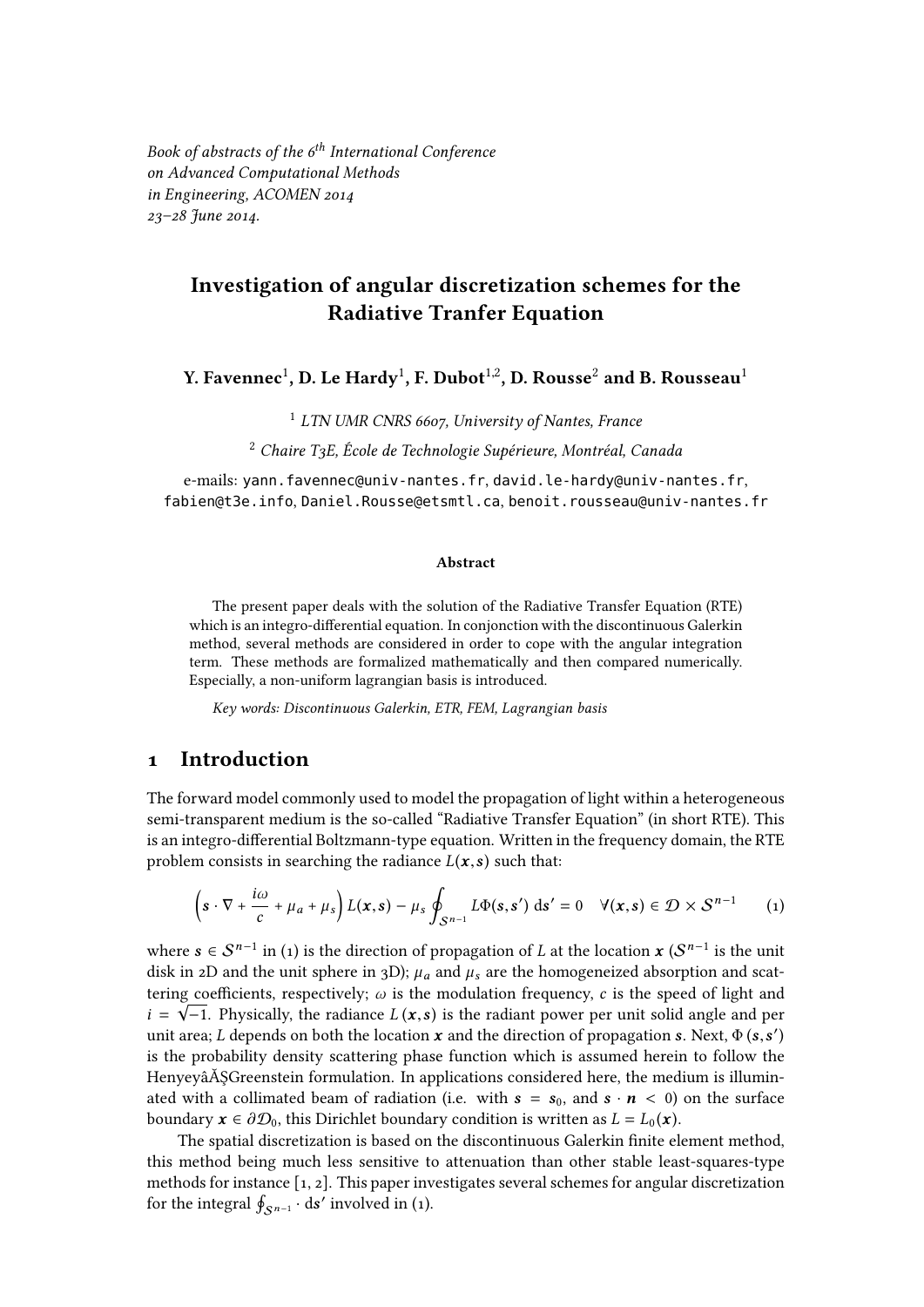Book of abstracts of the  $6<sup>th</sup>$  International Conference on Advanced Computational Methods in Engineering, ACOMEN 2014 23–28 June 2014.

## Investigation of angular discretization schemes for the Radiative Tranfer Equation

Y. Favennec $^1$ , D. Le Hardy $^1$ , F. Dubot $^{1,2}$ , D. Rousse $^2$  and B. Rousseau $^1$ 

<sup>1</sup> LTN UMR CNRS 6607, University of Nantes, France

<sup>2</sup> Chaire T3E, École de Technologie Supérieure, Montréal, Canada

e-mails: yann.favennec@univ-nantes.fr, david.le-hardy@univ-nantes.fr, fabien@t3e.info, Daniel.Rousse@etsmtl.ca, benoit.rousseau@univ-nantes.fr

## Abstract

The present paper deals with the solution of the Radiative Transfer Equation (RTE) which is an integro-differential equation. In conjonction with the discontinuous Galerkin method, several methods are considered in order to cope with the angular integration term. These methods are formalized mathematically and then compared numerically. Especially, a non-uniform lagrangian basis is introduced.

Key words: Discontinuous Galerkin, ETR, FEM, Lagrangian basis

## 1 Introduction

The forward model commonly used to model the propagation of light within a heterogeneous semi-transparent medium is the so-called "Radiative Transfer Equation" (in short RTE). This is an integro-differential Boltzmann-type equation. Written in the frequency domain, the RTE problem consists in searching the radiance  $L(x,s)$  such that:

$$
\left(s\cdot\nabla+\frac{i\omega}{c}+\mu_a+\mu_s\right)L(x,s)-\mu_s\oint_{S^{n-1}}L\Phi(s,s')\,\mathrm{d} s'=0\quad\forall(x,s)\in\mathcal{D}\times S^{n-1}\qquad(1)
$$

where  $s \in S^{n-1}$  in (1) is the direction of propagation of L at the location  $x (S^{n-1})$  is the unit disk in 2D and the unit sphere in 3D);  $\mu_a$  and  $\mu_s$  are the homogeneized absorption and scattering coefficients, respectively;  $\omega$  is the modulation frequency, c is the speed of light and<br>*i* =  $\sqrt{-1}$ . Physically, the radiance  $I(x, s)$  is the radiant power per unit solid angle and per  $i = \sqrt{-1}$ . Physically, the radiance  $L(\mathbf{x}, s)$  is the radiant power per unit solid angle and per unit area: *I* depends on both the location **x** and the direction of propagation s. Next  $\Phi(s, s')$ unit area; L depends on both the location  $\boldsymbol{x}$  and the direction of propagation s. Next,  $\Phi(s, s')$ <br>is the probability density scattering phase function which is assumed herein to follow the is the probability density scattering phase function which is assumed herein to follow the HenyeyâĂŞGreenstein formulation. In applications considered here, the medium is illuminated with a collimated beam of radiation (i.e. with  $s = s_0$ , and  $s \cdot n \le 0$ ) on the surface boundary  $\mathbf{x} \in \partial \mathcal{D}_0$ , this Dirichlet boundary condition is written as  $L = L_0(\mathbf{x})$ .

The spatial discretization is based on the discontinuous Galerkin finite element method, this method being much less sensitive to attenuation than other stable least-squares-type methods for instance [1, 2]. This paper investigates several schemes for angular discretization for the integral  $\oint_{\mathcal{S}^{n-1}} \cdot ds'$  involved in (1).